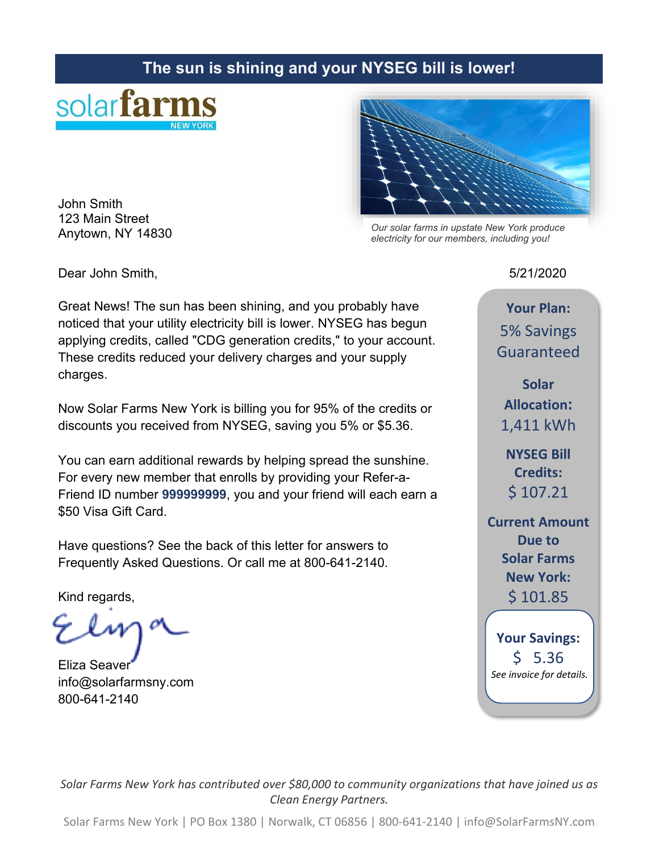# **The sun is shining and your NYSEG bill is lower!**



John Smith 123 Main Street Anytown, NY 14830



*Our solar farms in upstate New York produce electricity for our members, including you!*

Dear John Smith, 5/21/2020

Great News! The sun has been shining, and you probably have noticed that your utility electricity bill is lower. NYSEG has begun applying credits, called "CDG generation credits," to your account. These credits reduced your delivery charges and your supply charges.

Now Solar Farms New York is billing you for 95% of the credits or discounts you received from NYSEG, saving you 5% or \$5.36.

You can earn additional rewards by helping spread the sunshine. For every new member that enrolls by providing your Refer-a-Friend ID number **999999999**, you and your friend will each earn a \$50 Visa Gift Card.

Have questions? See the back of this letter for answers to Frequently Asked Questions. Or call me at 800-641-2140.

Kind regards,

Eliza Seaver info@solarfarmsny.com 800-641-2140

**Your Plan:** 5% Savings Guaranteed

**Solar Allocation:** 1,411 kWh

**NYSEG Bill Credits:** \$ 107.21

**Current Amount Due to Solar Farms New York:** \$ 101.85

**Your Savings:** \$ 5.36 *See invoice for details.*

*Solar Farms New York has contributed over \$80,000 to community organizations that have joined us as Clean Energy Partners.*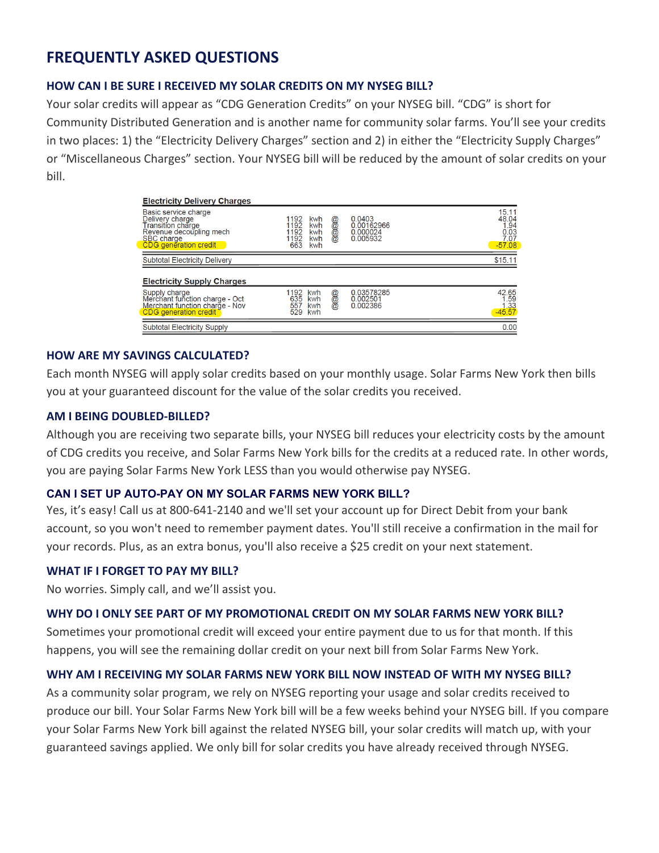# **FREQUENTLY ASKED QUESTIONS**

## **HOW CAN I BE SURE I RECEIVED MY SOLAR CREDITS ON MY NYSEG BILL?**

Your solar credits will appear as "CDG Generation Credits" on your NYSEG bill. "CDG" is short for Community Distributed Generation and is another name for community solar farms. You'll see your credits in two places: 1) the "Electricity Delivery Charges" section and 2) in either the "Electricity Supply Charges" or "Miscellaneous Charges" section. Your NYSEG bill will be reduced by the amount of solar credits on your bill.

| <b>Electricity Delivery Charges</b>                                                                                                          |                                                                                   |                                              |                                                    |
|----------------------------------------------------------------------------------------------------------------------------------------------|-----------------------------------------------------------------------------------|----------------------------------------------|----------------------------------------------------|
| Basic service charge<br>Delivery charge<br>Transition charge<br>Revenue decoupling mech<br>SBC charge<br>SBC charge<br>CDG generation credit | 1192<br>@<br>@@<br>kwh<br>1192<br>kwh<br>1192<br>kwh<br>1192<br>kwh<br>663<br>kwh | 0.0403<br>0.00162966<br>0.000024<br>0.005932 | 15.11<br>48.04<br>1.94<br>0.03<br>7.07<br>$-57.08$ |
| <b>Subtotal Electricity Delivery</b>                                                                                                         |                                                                                   |                                              | \$15.11                                            |
|                                                                                                                                              |                                                                                   |                                              |                                                    |
| <b>Electricity Supply Charges</b>                                                                                                            |                                                                                   |                                              |                                                    |
| Supply charge<br>Merchant function charge - Oct<br>Merchant function charge - Nov<br>CDG generation credit                                   | 1192<br>@<br>@<br>kwh<br>635<br>kwh<br>557<br>kwh<br>529<br>kwh                   | 0.03578285<br>0.002501<br>0.002386           | 42.65<br>1,59<br>1.33<br>$-45.57$                  |

### **HOW ARE MY SAVINGS CALCULATED?**

Each month NYSEG will apply solar credits based on your monthly usage. Solar Farms New York then bills you at your guaranteed discount for the value of the solar credits you received.

#### **AM I BEING DOUBLED-BILLED?**

Although you are receiving two separate bills, your NYSEG bill reduces your electricity costs by the amount of CDG credits you receive, and Solar Farms New York bills for the credits at a reduced rate. In other words, you are paying Solar Farms New York LESS than you would otherwise pay NYSEG.

#### **CAN I SET UP AUTO-PAY ON MY SOLAR FARMS NEW YORK BILL?**

Yes, it's easy! Call us at 800-641-2140 and we'll set your account up for Direct Debit from your bank account, so you won't need to remember payment dates. You'll still receive a confirmation in the mail for your records. Plus, as an extra bonus, you'll also receive a \$25 credit on your next statement.

#### **WHAT IF I FORGET TO PAY MY BILL?**

No worries. Simply call, and we'll assist you.

#### **WHY DO I ONLY SEE PART OF MY PROMOTIONAL CREDIT ON MY SOLAR FARMS NEW YORK BILL?**

Sometimes your promotional credit will exceed your entire payment due to us for that month. If this happens, you will see the remaining dollar credit on your next bill from Solar Farms New York.

#### **WHY AM I RECEIVING MY SOLAR FARMS NEW YORK BILL NOW INSTEAD OF WITH MY NYSEG BILL?**

As a community solar program, we rely on NYSEG reporting your usage and solar credits received to produce our bill. Your Solar Farms New York bill will be a few weeks behind your NYSEG bill. If you compare your Solar Farms New York bill against the related NYSEG bill, your solar credits will match up, with your guaranteed savings applied. We only bill for solar credits you have already received through NYSEG.